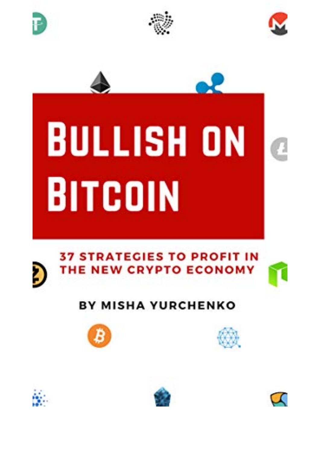





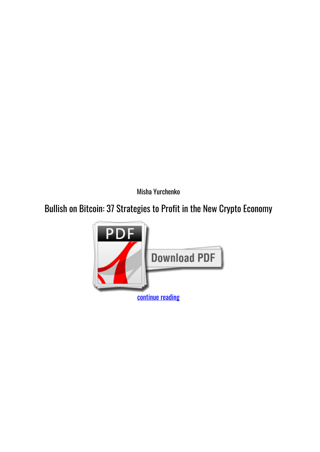*Misha Yurchenko*

## **Bullish on Bitcoin: 37 Strategies to Profit in the New Crypto Economy**

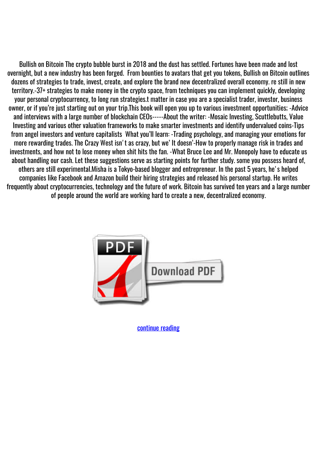Bullish on Bitcoin The crypto bubble burst in 2018 and the dust has settled. Fortunes have been made and lost overnight, but a new industry has been forged. From bounties to avatars that get you tokens, Bullish on Bitcoin outlines dozens of strategies to trade, invest, create, and explore the brand new decentralized overall economy. re still in new territory.-37+ strategies to make money in the crypto space, from techniques you can implement quickly, developing your personal cryptocurrency, to long run strategies.t matter in case you are a specialist trader, investor, business owner, or if you're just starting out on your trip.This book will open you up to various investment opportunities; -Advice and interviews with a large number of blockchain CEOs-----About the writer: -Mosaic Investing, Scuttlebutts, Value Investing and various other valuation frameworks to make smarter investments and identify undervalued coins-Tips from angel investors and venture capitalists What you'll learn: -Trading psychology, and managing your emotions for more rewarding trades. The Crazy West isn't as crazy, but we' It doesn'-How to properly manage risk in trades and investments, and how not to lose money when shit hits the fan. -What Bruce Lee and Mr. Monopoly have to educate us about handling our cash. Let these suggestions serve as starting points for further study. some you possess heard of, others are still experimental.Misha is a Tokyo-based blogger and entrepreneur. In the past 5 years, he's helped companies like Facebook and Amazon build their hiring strategies and released his personal startup. He writes frequently about cryptocurrencies, technology and the future of work. Bitcoin has survived ten years and a large number of people around the world are working hard to create a new, decentralized economy.



[continue reading](http://bit.ly/2Tge8Fv)